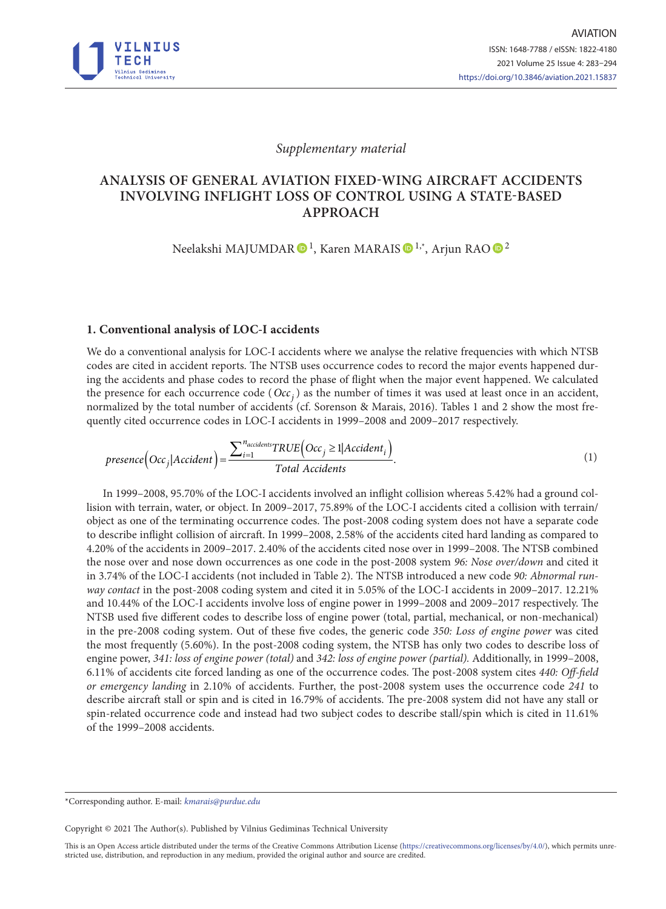

*Supplementary material*

## **ANALYSIS OF GENERAL AVIATION FIXED-WING AIRCRAFT ACCIDENTS INVOLVING INFLIGHT LOSS OF CONTROL USING A STATE-BASED APPROACH**

Neelakshi MAJUMDAR  $\mathbf{D}^{1}$  $\mathbf{D}^{1}$  $\mathbf{D}^{1}$ , Karen MARAIS  $\mathbf{D}^{1,*}$ , Arjun RAO  $\mathbf{D}^{2}$ 

## **1. Conventional analysis of LOC-I accidents**

We do a conventional analysis for LOC-I accidents where we analyse the relative frequencies with which NTSB codes are cited in accident reports. The NTSB uses occurrence codes to record the major events happened during the accidents and phase codes to record the phase of flight when the major event happened. We calculated the presence for each occurrence code ( $Occ<sub>i</sub>$ ) as the number of times it was used at least once in an accident, normalized by the total number of accidents (cf. Sorenson & Marais, 2016). Tables 1 and 2 show the most frequently cited occurrence codes in LOC-I accidents in 1999–2008 and 2009–2017 respectively.

$$
presence\left(Occ_j | Accident\right) = \frac{\sum_{i=1}^{naccident} TRUE\left( Occ_j \ge 1 | Accident_i\right)}{Total Accidents}.
$$
\n(1)

In 1999–2008, 95.70% of the LOC-I accidents involved an inflight collision whereas 5.42% had a ground collision with terrain, water, or object. In 2009–2017, 75.89% of the LOC-I accidents cited a collision with terrain/ object as one of the terminating occurrence codes. The post-2008 coding system does not have a separate code to describe inflight collision of aircraft. In 1999–2008, 2.58% of the accidents cited hard landing as compared to 4.20% of the accidents in 2009–2017. 2.40% of the accidents cited nose over in 1999–2008. The NTSB combined the nose over and nose down occurrences as one code in the post-2008 system *96: Nose over/down* and cited it in 3.74% of the LOC-I accidents (not included in Table 2). The NTSB introduced a new code *90: Abnormal runway contact* in the post-2008 coding system and cited it in 5.05% of the LOC-I accidents in 2009–2017. 12.21% and 10.44% of the LOC-I accidents involve loss of engine power in 1999–2008 and 2009–2017 respectively. The NTSB used five different codes to describe loss of engine power (total, partial, mechanical, or non-mechanical) in the pre-2008 coding system. Out of these five codes, the generic code *350: Loss of engine power* was cited the most frequently (5.60%). In the post-2008 coding system, the NTSB has only two codes to describe loss of engine power, *341: loss of engine power (total)* and *342: loss of engine power (partial).* Additionally, in 1999–2008, 6.11% of accidents cite forced landing as one of the occurrence codes. The post-2008 system cites *440: Off-field or emergency landing* in 2.10% of accidents. Further, the post-2008 system uses the occurrence code *241* to describe aircraft stall or spin and is cited in 16.79% of accidents. The pre-2008 system did not have any stall or spin-related occurrence code and instead had two subject codes to describe stall/spin which is cited in 11.61% of the 1999–2008 accidents.

Copyright © 2021 The Author(s). Published by Vilnius Gediminas Technical University

This is an Open Access article distributed under the terms of the Creative Commons Attribution License [\(https://creativecommons.org/licenses/by/4.0/\)](http://creativecommons.org/licenses/by/4.0/), which permits unrestricted use, distribution, and reproduction in any medium, provided the original author and source are credited.

<sup>\*</sup>Corresponding author. E-mail: *kmarais@purdue.edu*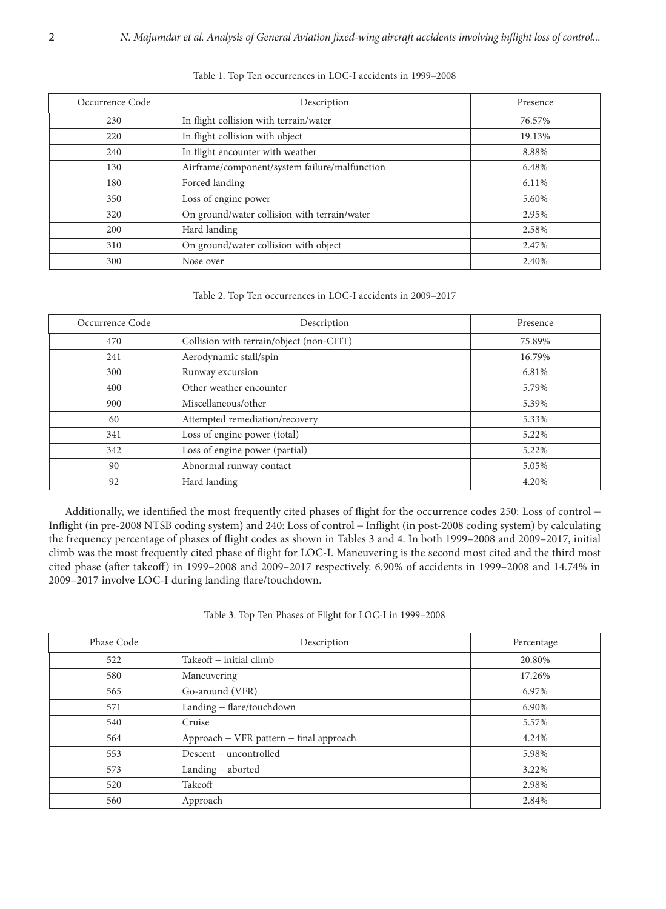| Occurrence Code | Description                                   | Presence |  |  |
|-----------------|-----------------------------------------------|----------|--|--|
| 230             | In flight collision with terrain/water        | 76.57%   |  |  |
| 220             | In flight collision with object               | 19.13%   |  |  |
| 240             | In flight encounter with weather              | 8.88%    |  |  |
| 130             | Airframe/component/system failure/malfunction | 6.48%    |  |  |
| 180             | Forced landing                                | 6.11%    |  |  |
| 350             | Loss of engine power                          | 5.60%    |  |  |
| 320             | On ground/water collision with terrain/water  | 2.95%    |  |  |
| 200             | Hard landing                                  | 2.58%    |  |  |
| 310             | On ground/water collision with object         | 2.47%    |  |  |
| 300             | Nose over                                     | 2.40%    |  |  |

Table 1. Top Ten occurrences in LOC-I accidents in 1999–2008

Table 2. Top Ten occurrences in LOC-I accidents in 2009–2017

| Occurrence Code | Description                              | Presence |
|-----------------|------------------------------------------|----------|
| 470             | Collision with terrain/object (non-CFIT) | 75.89%   |
| 241             | Aerodynamic stall/spin                   | 16.79%   |
| 300             | Runway excursion                         | 6.81%    |
| 400             | Other weather encounter                  | 5.79%    |
| 900             | Miscellaneous/other                      | 5.39%    |
| 60              | Attempted remediation/recovery           | 5.33%    |
| 341             | Loss of engine power (total)             | 5.22%    |
| 342             | Loss of engine power (partial)           | 5.22%    |
| 90              | Abnormal runway contact                  | 5.05%    |
| 92              | Hard landing                             | 4.20%    |

Additionally, we identified the most frequently cited phases of flight for the occurrence codes 250: Loss of control − Inflight (in pre-2008 NTSB coding system) and 240: Loss of control − Inflight (in post-2008 coding system) by calculating the frequency percentage of phases of flight codes as shown in Tables 3 and 4. In both 1999–2008 and 2009–2017, initial climb was the most frequently cited phase of flight for LOC-I. Maneuvering is the second most cited and the third most cited phase (after takeoff) in 1999–2008 and 2009–2017 respectively. 6.90% of accidents in 1999–2008 and 14.74% in 2009–2017 involve LOC-I during landing flare/touchdown.

|  |  |  |  |  | Table 3. Top Ten Phases of Flight for LOC-I in 1999–2008 |  |  |  |  |  |  |  |  |
|--|--|--|--|--|----------------------------------------------------------|--|--|--|--|--|--|--|--|
|--|--|--|--|--|----------------------------------------------------------|--|--|--|--|--|--|--|--|

| Phase Code | Description                             | Percentage |  |  |
|------------|-----------------------------------------|------------|--|--|
| 522        | Takeoff – initial climb                 | 20.80%     |  |  |
| 580        | Maneuvering                             | 17.26%     |  |  |
| 565        | Go-around (VFR)                         | 6.97%      |  |  |
| 571        | Landing - flare/touchdown               | 6.90%      |  |  |
| 540        | Cruise                                  | 5.57%      |  |  |
| 564        | Approach - VFR pattern - final approach | 4.24%      |  |  |
| 553        | Descent – uncontrolled                  | 5.98%      |  |  |
| 573        | Landing - aborted                       | 3.22%      |  |  |
| 520        | Takeoff                                 | 2.98%      |  |  |
| 560        | Approach                                | 2.84%      |  |  |